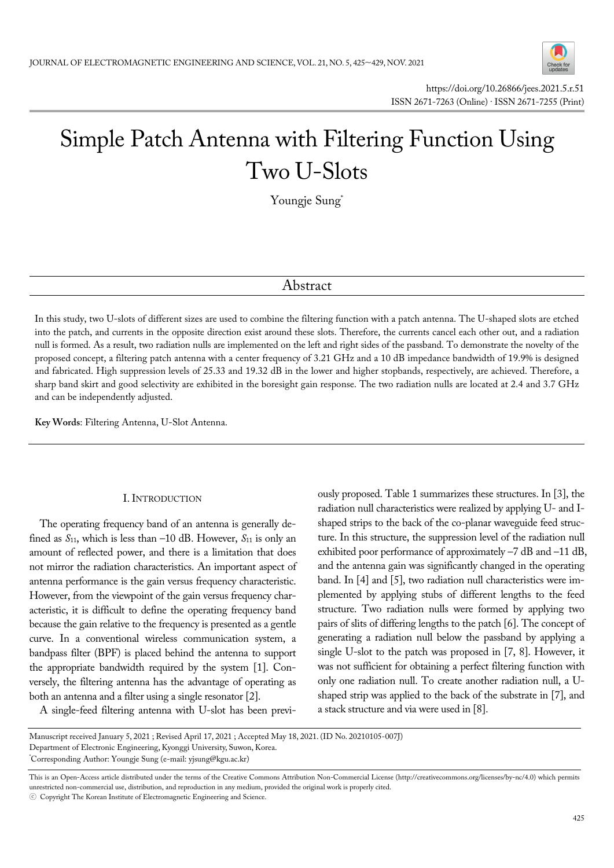

# Simple Patch Antenna with Filtering Function Using Two U-Slots

Youngje Sung\*

# Abstract

In this study, two U-slots of different sizes are used to combine the filtering function with a patch antenna. The U-shaped slots are etched into the patch, and currents in the opposite direction exist around these slots. Therefore, the currents cancel each other out, and a radiation null is formed. As a result, two radiation nulls are implemented on the left and right sides of the passband. To demonstrate the novelty of the proposed concept, a filtering patch antenna with a center frequency of 3.21 GHz and a 10 dB impedance bandwidth of 19.9% is designed and fabricated. High suppression levels of 25.33 and 19.32 dB in the lower and higher stopbands, respectively, are achieved. Therefore, a sharp band skirt and good selectivity are exhibited in the boresight gain response. The two radiation nulls are located at 2.4 and 3.7 GHz and can be independently adjusted.

**Key Words**: Filtering Antenna, U-Slot Antenna.

# I. INTRODUCTION

The operating frequency band of an antenna is generally defined as  $S_{11}$ , which is less than –10 dB. However,  $S_{11}$  is only an amount of reflected power, and there is a limitation that does not mirror the radiation characteristics. An important aspect of antenna performance is the gain versus frequency characteristic. However, from the viewpoint of the gain versus frequency characteristic, it is difficult to define the operating frequency band because the gain relative to the frequency is presented as a gentle curve. In a conventional wireless communication system, a bandpass filter (BPF) is placed behind the antenna to support the appropriate bandwidth required by the system [1]. Conversely, the filtering antenna has the advantage of operating as both an antenna and a filter using a single resonator [2].

A single-feed filtering antenna with U-slot has been previ-

ously proposed. Table 1 summarizes these structures. In [3], the radiation null characteristics were realized by applying U- and Ishaped strips to the back of the co-planar waveguide feed structure. In this structure, the suppression level of the radiation null exhibited poor performance of approximately –7 dB and –11 dB, and the antenna gain was significantly changed in the operating band. In [4] and [5], two radiation null characteristics were implemented by applying stubs of different lengths to the feed structure. Two radiation nulls were formed by applying two pairs of slits of differing lengths to the patch [6]. The concept of generating a radiation null below the passband by applying a single U-slot to the patch was proposed in [7, 8]. However, it was not sufficient for obtaining a perfect filtering function with only one radiation null. To create another radiation null, a Ushaped strip was applied to the back of the substrate in [7], and a stack structure and via were used in [8].

Manuscript received January 5, 2021 ; Revised April 17, 2021 ; Accepted May 18, 2021. (ID No. 20210105-007J) Department of Electronic Engineering, Kyonggi University, Suwon, Korea. \* Corresponding Author: Youngje Sung (e-mail: yjsung@kgu.ac.kr)

This is an Open-Access article distributed under the terms of the Creative Commons Attribution Non-Commercial License (http://creativecommons.org/licenses/by-nc/4.0) which permits unrestricted non-commercial use, distribution, and reproduction in any medium, provided the original work is properly cited.

ⓒ Copyright The Korean Institute of Electromagnetic Engineering and Science.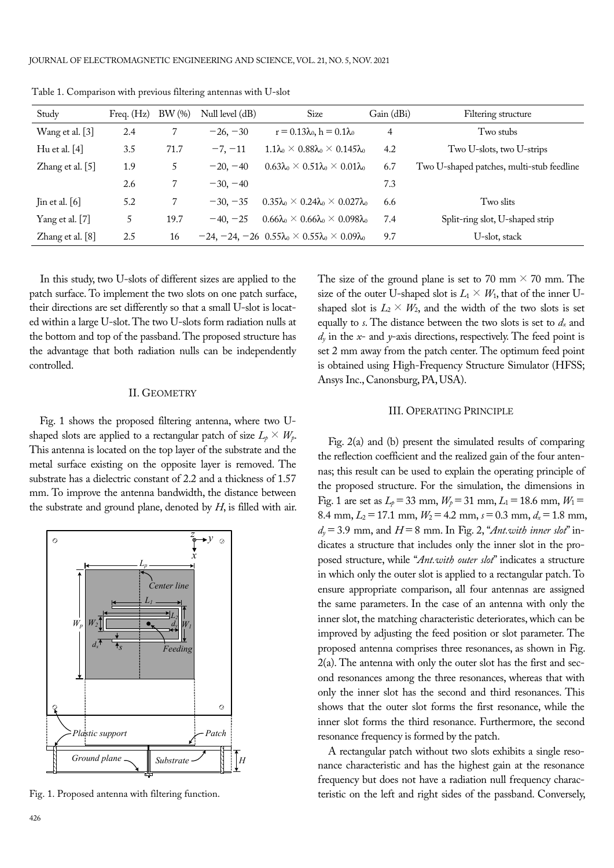| Study            | Freq. $(Hz)$ | $BW(\%)$ | Null level $(dB)$ | Size                                                                      | Gain (dBi) | Filtering structure                       |
|------------------|--------------|----------|-------------------|---------------------------------------------------------------------------|------------|-------------------------------------------|
| Wang et al. [3]  | 2.4          |          | $-26, -30$        | $r = 0.13\lambda_0, h = 0.1\lambda_0$                                     | 4          | Two stubs                                 |
| Hu et al. $[4]$  | 3.5          | 71.7     | $-7, -11$         | $1.1\lambda_0 \times 0.88\lambda_0 \times 0.145\lambda_0$                 | 4.2        | Two U-slots, two U-strips                 |
| Zhang et al. [5] | 1.9          | 5        | $-20, -40$        | $0.63\lambda_0 \times 0.51\lambda_0 \times 0.01\lambda_0$                 | 6.7        | Two U-shaped patches, multi-stub feedline |
|                  | 2.6          |          | $-30, -40$        |                                                                           | 7.3        |                                           |
| Jin et al. $[6]$ | 5.2          | 7        | $-30, -35$        | $0.35\lambda_0 \times 0.24\lambda_0 \times 0.027\lambda_0$                | 6.6        | Two slits                                 |
| Yang et al. [7]  | 5            | 19.7     | $-40, -25$        | $0.66\lambda_0 \times 0.66\lambda_0 \times 0.098\lambda_0$                | 7.4        | Split-ring slot, U-shaped strip           |
| Zhang et al. [8] | 2.5          | 16       |                   | $-24, -24, -26$ $0.55\lambda_0 \times 0.55\lambda_0 \times 0.09\lambda_0$ | 9.7        | U-slot, stack                             |

Table 1. Comparison with previous filtering antennas with U-slot

In this study, two U-slots of different sizes are applied to the patch surface. To implement the two slots on one patch surface, their directions are set differently so that a small U-slot is located within a large U-slot. The two U-slots form radiation nulls at the bottom and top of the passband. The proposed structure has the advantage that both radiation nulls can be independently controlled.

# II. GEOMETRY

Fig. 1 shows the proposed filtering antenna, where two Ushaped slots are applied to a rectangular patch of size  $L_p \times W_p$ . This antenna is located on the top layer of the substrate and the metal surface existing on the opposite layer is removed. The substrate has a dielectric constant of 2.2 and a thickness of 1.57 mm. To improve the antenna bandwidth, the distance between the substrate and ground plane, denoted by *H*, is filled with air.



The size of the ground plane is set to 70 mm  $\times$  70 mm. The size of the outer U-shaped slot is  $L_1 \times W_1$ , that of the inner Ushaped slot is  $L_2 \times W_2$ , and the width of the two slots is set equally to *s*. The distance between the two slots is set to *dx* and  $d<sub>y</sub>$  in the *x*- and *y*-axis directions, respectively. The feed point is set 2 mm away from the patch center. The optimum feed point is obtained using High-Frequency Structure Simulator (HFSS; Ansys Inc., Canonsburg, PA, USA).

# III. OPERATING PRINCIPLE

Fig. 2(a) and (b) present the simulated results of comparing the reflection coefficient and the realized gain of the four antennas; this result can be used to explain the operating principle of the proposed structure. For the simulation, the dimensions in Fig. 1 are set as  $L_p = 33$  mm,  $W_p = 31$  mm,  $L_1 = 18.6$  mm,  $W_1 =$ 8.4 mm,  $L_2 = 17.1$  mm,  $W_2 = 4.2$  mm,  $s = 0.3$  mm,  $d_x = 1.8$  mm, *dy*=3.9 mm, and *H*=8 mm. In Fig. 2, "*Ant.with inner slot*" indicates a structure that includes only the inner slot in the proposed structure, while "*Ant.with outer slot*" indicates a structure in which only the outer slot is applied to a rectangular patch. To ensure appropriate comparison, all four antennas are assigned the same parameters. In the case of an antenna with only the inner slot, the matching characteristic deteriorates, which can be improved by adjusting the feed position or slot parameter. The proposed antenna comprises three resonances, as shown in Fig.  $2(a)$ . The antenna with only the outer slot has the first and second resonances among the three resonances, whereas that with only the inner slot has the second and third resonances. This shows that the outer slot forms the first resonance, while the inner slot forms the third resonance. Furthermore, the second resonance frequency is formed by the patch.

A rectangular patch without two slots exhibits a single resonance characteristic and has the highest gain at the resonance frequency but does not have a radiation null frequency charac-Fig. 1. Proposed antenna with filtering function. the teristic on the left and right sides of the passband. Conversely,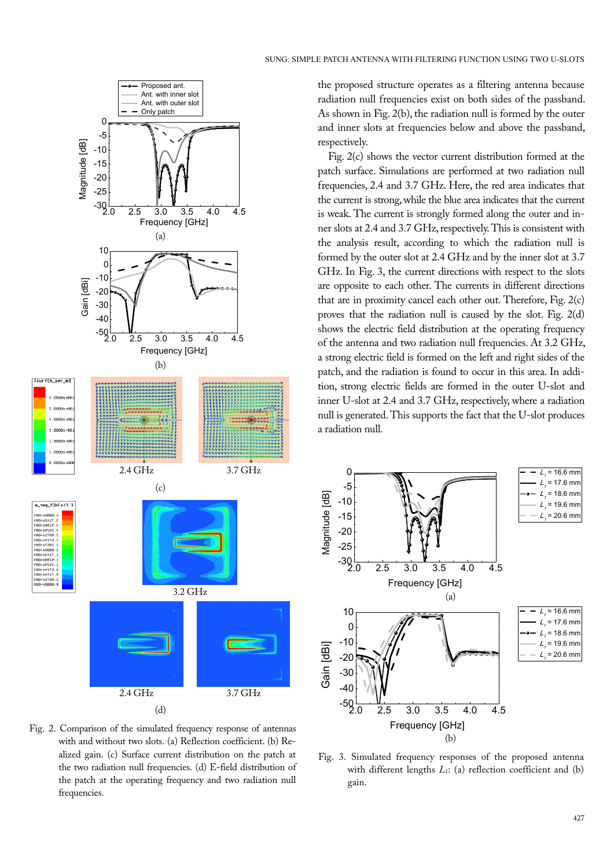

Fig. 2. Comparison of the simulated frequency response of antennas with and without two slots. (a) Reflection coefficient. (b) Realized gain. (c) Surface current distribution on the patch at the two radiation null frequencies. (d) E-field distribution of the patch at the operating frequency and two radiation null frequencies.

the proposed structure operates as a filtering antenna because radiation null frequencies exist on both sides of the passband. As shown in Fig. 2(b), the radiation null is formed by the outer and inner slots at frequencies below and above the passband, respectively.

Fig. 2(c) shows the vector current distribution formed at the patch surface. Simulations are performed at two radiation null frequencies, 2.4 and 3.7 GHz. Here, the red area indicates that the current is strong, while the blue area indicates that the current is weak. The current is strongly formed along the outer and inner slots at 2.4 and 3.7 GHz, respectively. This is consistent with the analysis result, according to which the radiation null is formed by the outer slot at 2.4 GHz and by the inner slot at 3.7 GHz. In Fig. 3, the current directions with respect to the slots are opposite to each other. The currents in different directions that are in proximity cancel each other out. Therefore, Fig. 2(c) proves that the radiation null is caused by the slot. Fig. 2(d) shows the electric field distribution at the operating frequency of the antenna and two radiation null frequencies. At 3.2 GHz, a strong electric field is formed on the left and right sides of the patch, and the radiation is found to occur in this area. In addition, strong electric fields are formed in the outer U-slot and inner U-slot at 2.4 and 3.7 GHz, respectively, where a radiation null is generated. This supports the fact that the U-slot produces a radiation null.



Fig. 3. Simulated frequency responses of the proposed antenna with different lengths *L*1: (a) reflection coefficient and (b) gain.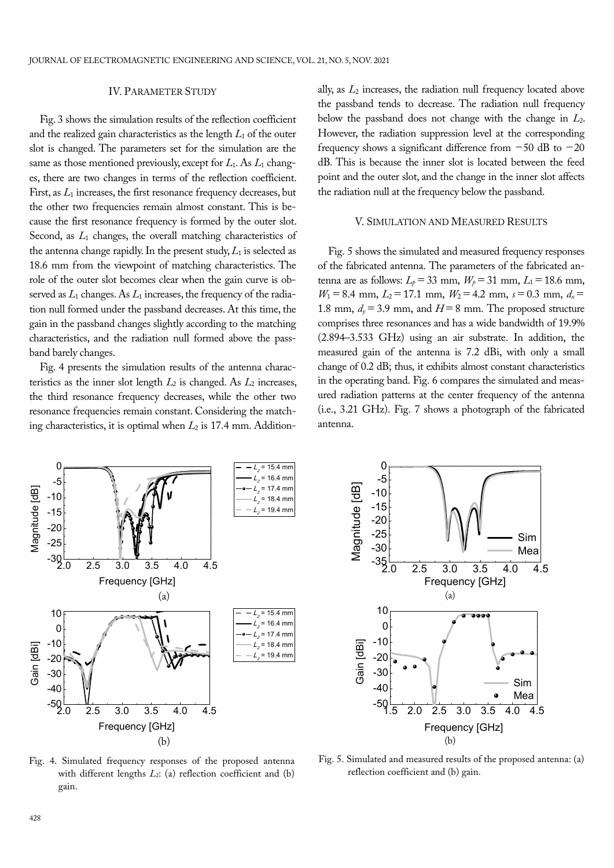#### IV. PARAMETER STUDY

Fig. 3 shows the simulation results of the reflection coefficient and the realized gain characteristics as the length  $L_1$  of the outer slot is changed. The parameters set for the simulation are the same as those mentioned previously, except for *L*1. As *L*1 changes, there are two changes in terms of the reflection coefficient. First, as  $L_1$  increases, the first resonance frequency decreases, but the other two frequencies remain almost constant. This is because the first resonance frequency is formed by the outer slot. Second, as *L*1 changes, the overall matching characteristics of the antenna change rapidly. In the present study,  $L_1$  is selected as 18.6 mm from the viewpoint of matching characteristics. The role of the outer slot becomes clear when the gain curve is observed as  $L_1$  changes. As  $L_1$  increases, the frequency of the radiation null formed under the passband decreases. At this time, the gain in the passband changes slightly according to the matching characteristics, and the radiation null formed above the passband barely changes.

Fig. 4 presents the simulation results of the antenna characteristics as the inner slot length  $L_2$  is changed. As  $L_2$  increases, the third resonance frequency decreases, while the other two resonance frequencies remain constant. Considering the matching characteristics, it is optimal when *L*2 is 17.4 mm. Additionally, as *L*2 increases, the radiation null frequency located above the passband tends to decrease. The radiation null frequency below the passband does not change with the change in *L*2. However, the radiation suppression level at the corresponding frequency shows a significant difference from  $-50$  dB to  $-20$ dB. This is because the inner slot is located between the feed point and the outer slot, and the change in the inner slot affects the radiation null at the frequency below the passband.

# V. SIMULATION AND MEASURED RESULTS

Fig. 5 shows the simulated and measured frequency responses of the fabricated antenna. The parameters of the fabricated antenna are as follows:  $L_p = 33$  mm,  $W_p = 31$  mm,  $L_1 = 18.6$  mm,  $W_1$  = 8.4 mm,  $L_2$  = 17.1 mm,  $W_2$  = 4.2 mm,  $s$  = 0.3 mm,  $d_x$  = 1.8 mm,  $d_v = 3.9$  mm, and  $H = 8$  mm. The proposed structure comprises three resonances and has a wide bandwidth of 19.9% (2.894–3.533 GHz) using an air substrate. In addition, the measured gain of the antenna is 7.2 dBi, with only a small change of 0.2 dB; thus, it exhibits almost constant characteristics in the operating band. Fig. 6 compares the simulated and measured radiation patterns at the center frequency of the antenna (i.e., 3.21 GHz). Fig. 7 shows a photograph of the fabricated antenna.



Fig. 4. Simulated frequency responses of the proposed antenna with different lengths *L*2: (a) reflection coefficient and (b) gain.



Fig. 5. Simulated and measured results of the proposed antenna: (a) reflection coefficient and (b) gain.